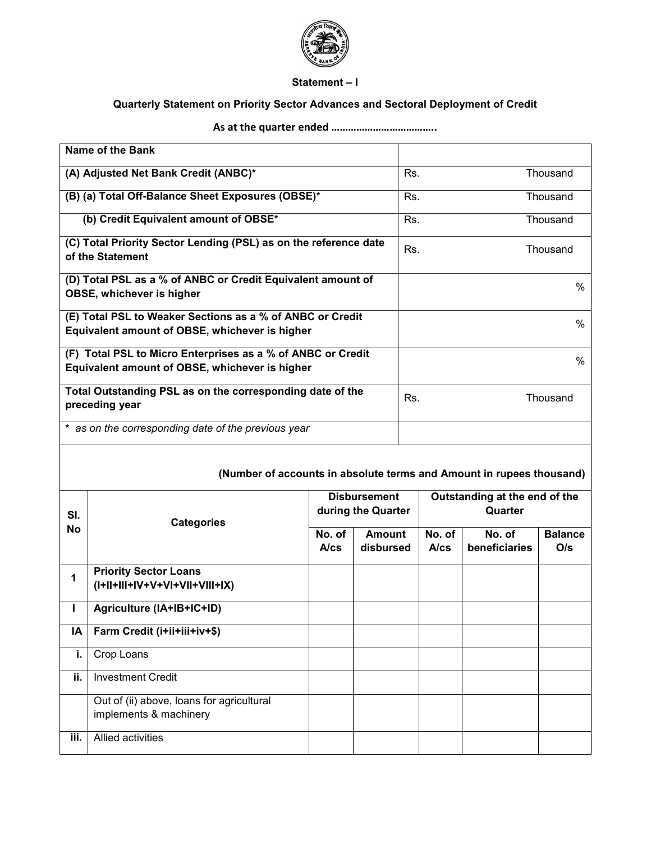

## **Statement – I**

## **Quarterly Statement on Priority Sector Advances and Sectoral Deployment of Credit**

## **As at the quarter ended ………………………………..**

|                                                                                                               | <b>Name of the Bank</b>                                             |                |                            |                                           |                |                                          |                       |  |
|---------------------------------------------------------------------------------------------------------------|---------------------------------------------------------------------|----------------|----------------------------|-------------------------------------------|----------------|------------------------------------------|-----------------------|--|
| (A) Adjusted Net Bank Credit (ANBC)*                                                                          |                                                                     |                | Thousand<br>Rs.            |                                           |                |                                          |                       |  |
|                                                                                                               | (B) (a) Total Off-Balance Sheet Exposures (OBSE)*                   |                |                            | Rs.                                       |                |                                          | Thousand              |  |
| (b) Credit Equivalent amount of OBSE*                                                                         |                                                                     |                | Rs.                        |                                           |                | Thousand                                 |                       |  |
| (C) Total Priority Sector Lending (PSL) as on the reference date<br>of the Statement                          |                                                                     |                |                            | Rs.                                       |                |                                          | Thousand              |  |
| (D) Total PSL as a % of ANBC or Credit Equivalent amount of<br>OBSE, whichever is higher                      |                                                                     |                |                            |                                           |                |                                          | $\%$                  |  |
| (E) Total PSL to Weaker Sections as a % of ANBC or Credit<br>Equivalent amount of OBSE, whichever is higher   |                                                                     |                |                            |                                           |                |                                          | %                     |  |
| (F) Total PSL to Micro Enterprises as a % of ANBC or Credit<br>Equivalent amount of OBSE, whichever is higher |                                                                     |                |                            |                                           |                |                                          | $\%$                  |  |
| Total Outstanding PSL as on the corresponding date of the<br>preceding year                                   |                                                                     |                | Thousand<br>Rs.            |                                           |                |                                          |                       |  |
| * as on the corresponding date of the previous year                                                           |                                                                     |                |                            |                                           |                |                                          |                       |  |
| (Number of accounts in absolute terms and Amount in rupees thousand)                                          |                                                                     |                |                            |                                           |                |                                          |                       |  |
| SI.                                                                                                           | <b>Categories</b>                                                   |                |                            | <b>Disbursement</b><br>during the Quarter |                | Outstanding at the end of the<br>Quarter |                       |  |
| <b>No</b>                                                                                                     |                                                                     | No. of<br>A/cs | <b>Amount</b><br>disbursed |                                           | No. of<br>A/cs | No. of<br>beneficiaries                  | <b>Balance</b><br>O/s |  |
| 1                                                                                                             | <b>Priority Sector Loans</b><br>(I+II+III+IV+V+VI+VII+VIII+IX)      |                |                            |                                           |                |                                          |                       |  |
| L                                                                                                             | Agriculture (IA+IB+IC+ID)                                           |                |                            |                                           |                |                                          |                       |  |
| IA                                                                                                            | Farm Credit (i+ii+iii+iv+\$)                                        |                |                            |                                           |                |                                          |                       |  |
| i.                                                                                                            | Crop Loans                                                          |                |                            |                                           |                |                                          |                       |  |
| ii.                                                                                                           | <b>Investment Credit</b>                                            |                |                            |                                           |                |                                          |                       |  |
|                                                                                                               | Out of (ii) above, loans for agricultural<br>implements & machinery |                |                            |                                           |                |                                          |                       |  |

**iii.** Allied activities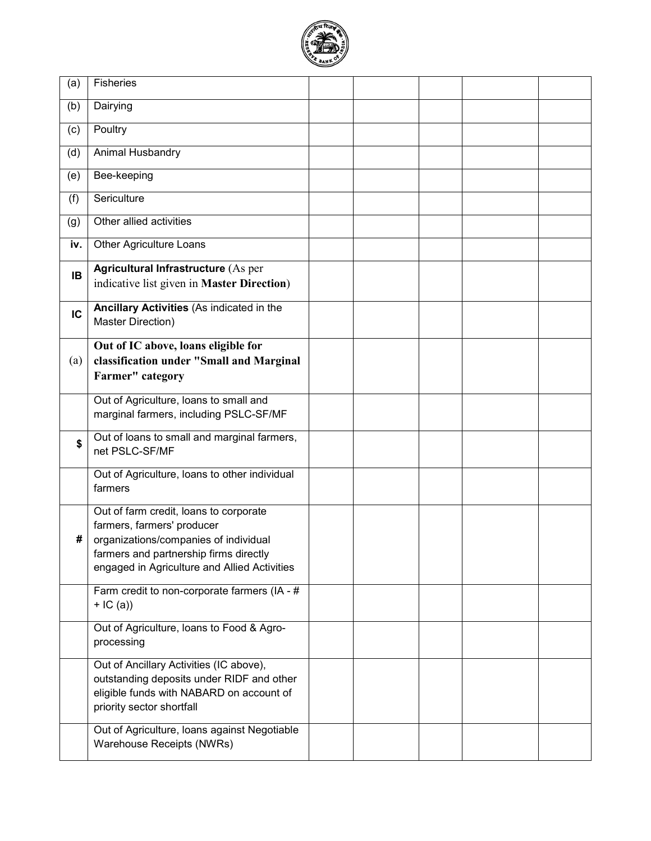

| (a) | Fisheries                                                                                                                                                                                               |  |  |  |
|-----|---------------------------------------------------------------------------------------------------------------------------------------------------------------------------------------------------------|--|--|--|
| (b) | Dairying                                                                                                                                                                                                |  |  |  |
| (c) | Poultry                                                                                                                                                                                                 |  |  |  |
| (d) | Animal Husbandry                                                                                                                                                                                        |  |  |  |
| (e) | Bee-keeping                                                                                                                                                                                             |  |  |  |
| (f) | Sericulture                                                                                                                                                                                             |  |  |  |
| (g) | Other allied activities                                                                                                                                                                                 |  |  |  |
| iv. | Other Agriculture Loans                                                                                                                                                                                 |  |  |  |
| IB  | <b>Agricultural Infrastructure (As per</b><br>indicative list given in Master Direction)                                                                                                                |  |  |  |
| IC  | Ancillary Activities (As indicated in the<br>Master Direction)                                                                                                                                          |  |  |  |
| (a) | Out of IC above, loans eligible for<br>classification under "Small and Marginal<br>Farmer" category                                                                                                     |  |  |  |
|     | Out of Agriculture, loans to small and<br>marginal farmers, including PSLC-SF/MF                                                                                                                        |  |  |  |
| \$  | Out of loans to small and marginal farmers,<br>net PSLC-SF/MF                                                                                                                                           |  |  |  |
|     | Out of Agriculture, Ioans to other individual<br>farmers                                                                                                                                                |  |  |  |
| #   | Out of farm credit, loans to corporate<br>farmers, farmers' producer<br>organizations/companies of individual<br>farmers and partnership firms directly<br>engaged in Agriculture and Allied Activities |  |  |  |
|     | Farm credit to non-corporate farmers (IA - #<br>$+$ IC (a))                                                                                                                                             |  |  |  |
|     | Out of Agriculture, Ioans to Food & Agro-<br>processing                                                                                                                                                 |  |  |  |
|     | Out of Ancillary Activities (IC above),<br>outstanding deposits under RIDF and other<br>eligible funds with NABARD on account of<br>priority sector shortfall                                           |  |  |  |
|     | Out of Agriculture, Ioans against Negotiable<br>Warehouse Receipts (NWRs)                                                                                                                               |  |  |  |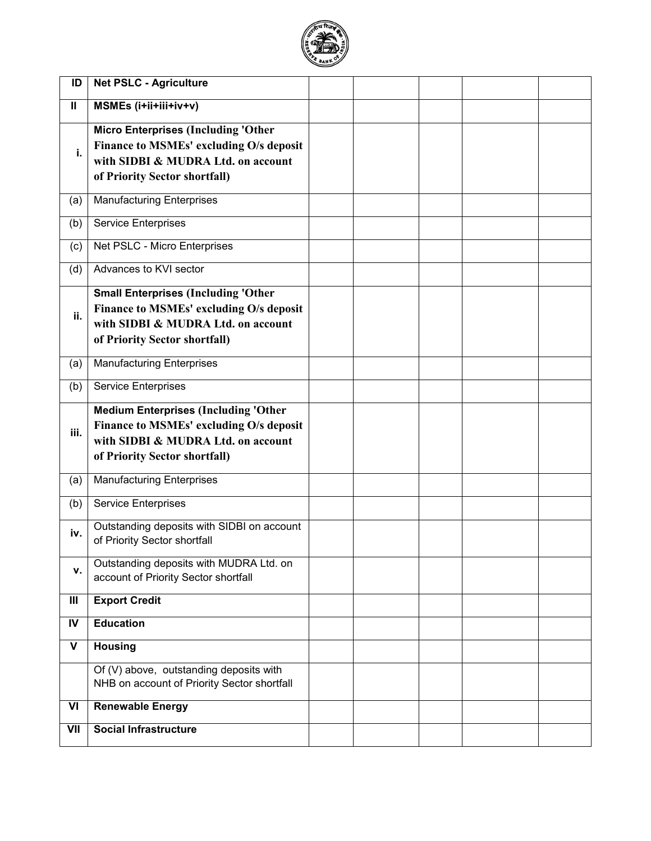

| ID             | <b>Net PSLC - Agriculture</b>                                                                                                                                 |  |  |  |
|----------------|---------------------------------------------------------------------------------------------------------------------------------------------------------------|--|--|--|
| Ш              | MSMEs (i+ii+iii+iv+v)                                                                                                                                         |  |  |  |
| i.             | <b>Micro Enterprises (Including 'Other</b><br>Finance to MSMEs' excluding O/s deposit<br>with SIDBI & MUDRA Ltd. on account<br>of Priority Sector shortfall)  |  |  |  |
| (a)            | <b>Manufacturing Enterprises</b>                                                                                                                              |  |  |  |
| (b)            | <b>Service Enterprises</b>                                                                                                                                    |  |  |  |
| (c)            | Net PSLC - Micro Enterprises                                                                                                                                  |  |  |  |
| (d)            | Advances to KVI sector                                                                                                                                        |  |  |  |
| ii.            | <b>Small Enterprises (Including 'Other</b><br>Finance to MSMEs' excluding O/s deposit<br>with SIDBI & MUDRA Ltd. on account<br>of Priority Sector shortfall)  |  |  |  |
| (a)            | <b>Manufacturing Enterprises</b>                                                                                                                              |  |  |  |
| (b)            | <b>Service Enterprises</b>                                                                                                                                    |  |  |  |
| iii.           | <b>Medium Enterprises (Including 'Other</b><br>Finance to MSMEs' excluding O/s deposit<br>with SIDBI & MUDRA Ltd. on account<br>of Priority Sector shortfall) |  |  |  |
| (a)            | <b>Manufacturing Enterprises</b>                                                                                                                              |  |  |  |
| (b)            | <b>Service Enterprises</b>                                                                                                                                    |  |  |  |
| iv.            | Outstanding deposits with SIDBI on account<br>of Priority Sector shortfall                                                                                    |  |  |  |
| v.             | Outstanding deposits with MUDRA Ltd. on<br>account of Priority Sector shortfall                                                                               |  |  |  |
| $\mathbf{III}$ | <b>Export Credit</b>                                                                                                                                          |  |  |  |
| IV             | <b>Education</b>                                                                                                                                              |  |  |  |
| V              | <b>Housing</b>                                                                                                                                                |  |  |  |
|                | Of (V) above, outstanding deposits with<br>NHB on account of Priority Sector shortfall                                                                        |  |  |  |
| VI             | <b>Renewable Energy</b>                                                                                                                                       |  |  |  |
| VII            | <b>Social Infrastructure</b>                                                                                                                                  |  |  |  |